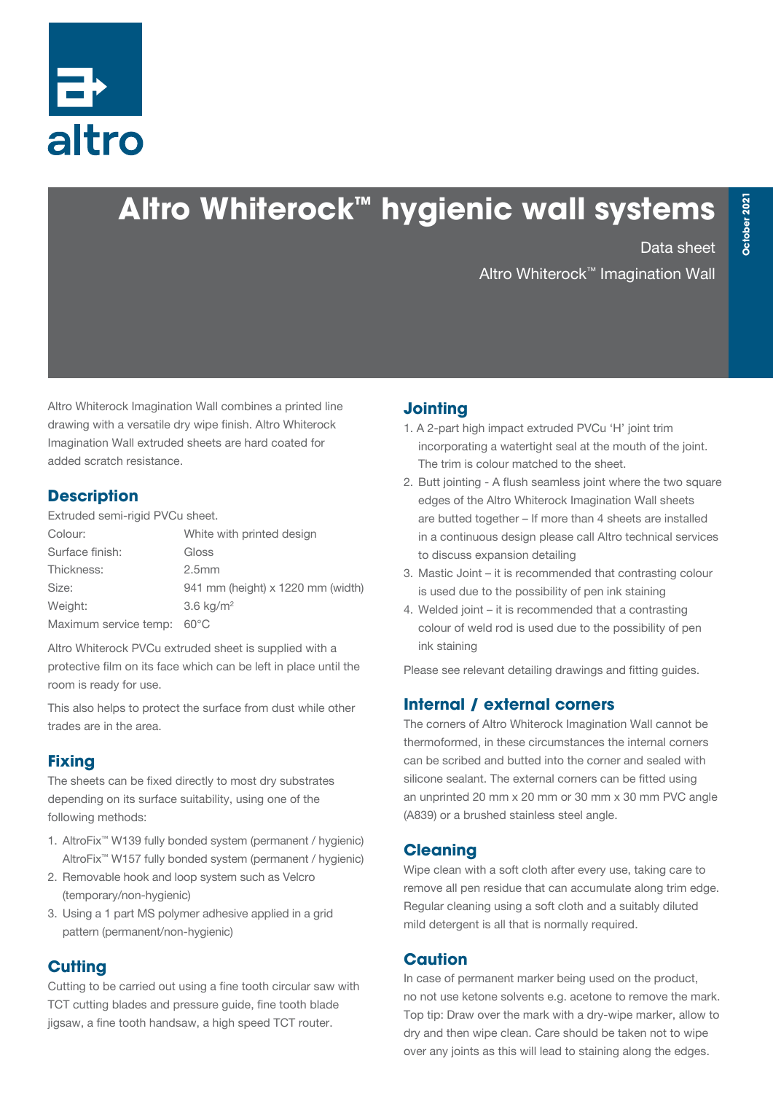

# **Altro Whiterock™ hygienic wall systems**

Data sheet

Altro Whiterock™ Imagination Wall

Altro Whiterock Imagination Wall combines a printed line drawing with a versatile dry wipe finish. Altro Whiterock Imagination Wall extruded sheets are hard coated for added scratch resistance.

#### **Description**

Extruded semi-rigid PVCu sheet.

| Colour:               | White with printed design         |
|-----------------------|-----------------------------------|
| Surface finish:       | Gloss                             |
| Thickness:            | 2.5 <sub>mm</sub>                 |
| Size:                 | 941 mm (height) x 1220 mm (width) |
| Weight:               | 3.6 $kg/m2$                       |
| Maximum service temp: | $60^{\circ}$ C                    |

Altro Whiterock PVCu extruded sheet is supplied with a protective film on its face which can be left in place until the room is ready for use.

This also helps to protect the surface from dust while other trades are in the area.

# **Fixing**

The sheets can be fixed directly to most dry substrates depending on its surface suitability, using one of the following methods:

- 1. AltroFix™ W139 fully bonded system (permanent / hygienic) AltroFix™ W157 fully bonded system (permanent / hygienic)
- 2. Removable hook and loop system such as Velcro (temporary/non-hygienic)
- 3. Using a 1 part MS polymer adhesive applied in a grid pattern (permanent/non-hygienic)

# **Cutting**

Cutting to be carried out using a fine tooth circular saw with TCT cutting blades and pressure guide, fine tooth blade jigsaw, a fine tooth handsaw, a high speed TCT router.

## **Jointing**

- 1. A 2-part high impact extruded PVCu 'H' joint trim incorporating a watertight seal at the mouth of the joint. The trim is colour matched to the sheet.
- 2. Butt jointing A flush seamless joint where the two square edges of the Altro Whiterock Imagination Wall sheets are butted together – If more than 4 sheets are installed in a continuous design please call Altro technical services to discuss expansion detailing
- 3. Mastic Joint it is recommended that contrasting colour is used due to the possibility of pen ink staining
- 4. Welded joint it is recommended that a contrasting colour of weld rod is used due to the possibility of pen ink staining

Please see relevant detailing drawings and fitting guides.

# **Internal / external corners**

The corners of Altro Whiterock Imagination Wall cannot be thermoformed, in these circumstances the internal corners can be scribed and butted into the corner and sealed with silicone sealant. The external corners can be fitted using an unprinted 20 mm x 20 mm or 30 mm x 30 mm PVC angle (A839) or a brushed stainless steel angle.

## **Cleaning**

Wipe clean with a soft cloth after every use, taking care to remove all pen residue that can accumulate along trim edge. Regular cleaning using a soft cloth and a suitably diluted mild detergent is all that is normally required.

## **Caution**

In case of permanent marker being used on the product, no not use ketone solvents e.g. acetone to remove the mark. Top tip: Draw over the mark with a dry-wipe marker, allow to dry and then wipe clean. Care should be taken not to wipe over any joints as this will lead to staining along the edges.